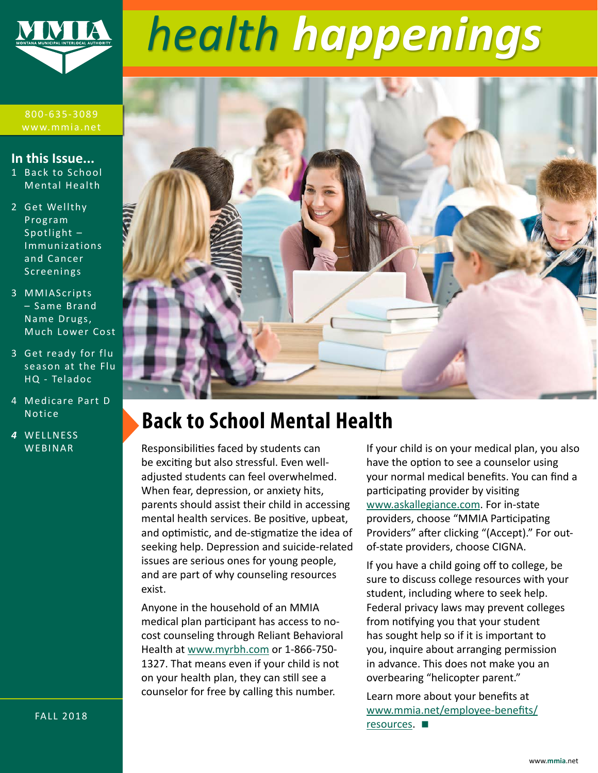

# *health happenings*

800-635-3089 www.mmia.net

#### **In this Issue...**

- 1 Back to School Mental Health
- 2 [Get Wellthy](#page-1-0)  [Program](#page-1-0)  [Spotlight –](#page-1-0)  [Immunizations](#page-1-0)  [and Cancer](#page-1-0)  [Screenings](#page-1-0)
- 3 [MMIAScripts](#page-2-0)  [– Same Brand](#page-2-0)  [Name Drugs,](#page-2-0)  [Much Lower Cost](#page-2-0)
- 3 [Get ready for flu](#page-2-0)  [season at the Flu](#page-2-0)  [HQ - Teladoc](#page-2-0)
- 4 [Medicare Part D](#page-3-0)  [Notice](#page-3-0)
- *4* [WELLNESS](#page-3-0)  [WEBINAR](#page-3-0)



### **Back to School Mental Health**

Responsibilities faced by students can be exciting but also stressful. Even welladjusted students can feel overwhelmed. When fear, depression, or anxiety hits, parents should assist their child in accessing mental health services. Be positive, upbeat, and optimistic, and de-stigmatize the idea of seeking help. Depression and suicide-related issues are serious ones for young people, and are part of why counseling resources exist.

Anyone in the household of an MMIA medical plan participant has access to nocost counseling through Reliant Behavioral Health at [www.myrbh.com](http://www.myrbh.com) or 1-866-750- 1327. That means even if your child is not on your health plan, they can still see a counselor for free by calling this number.

If your child is on your medical plan, you also have the option to see a counselor using your normal medical benefits. You can find a participating provider by visiting [www.askallegiance.com.](http://www.askallegiance.com) For in-state providers, choose "MMIA Participating Providers" after clicking "(Accept)." For outof-state providers, choose CIGNA.

If you have a child going off to college, be sure to discuss college resources with your student, including where to seek help. Federal privacy laws may prevent colleges from notifying you that your student has sought help so if it is important to you, inquire about arranging permission in advance. This does not make you an overbearing "helicopter parent."

Learn more about your benefits at [www.mmia.net/employee-benefits/](http://www.mmia.net/employee-benefits/resources) [resources](http://www.mmia.net/employee-benefits/resources). **■**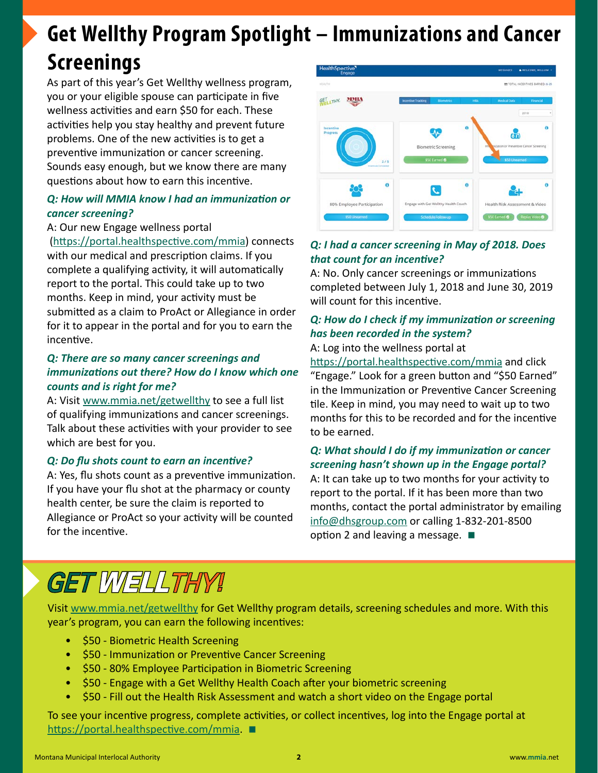### <span id="page-1-0"></span>**Get Wellthy Program Spotlight – Immunizations and Cancer Screenings**

As part of this year's Get Wellthy wellness program, you or your eligible spouse can participate in five wellness activities and earn \$50 for each. These activities help you stay healthy and prevent future problems. One of the new activities is to get a preventive immunization or cancer screening. Sounds easy enough, but we know there are many questions about how to earn this incentive.

#### *Q: How will MMIA know I had an immunization or cancer screening?*

#### A: Our new Engage wellness portal

 (<https://portal.healthspective.com/mmia>) connects with our medical and prescription claims. If you complete a qualifying activity, it will automatically report to the portal. This could take up to two months. Keep in mind, your activity must be submitted as a claim to ProAct or Allegiance in order for it to appear in the portal and for you to earn the incentive.

#### *Q: There are so many cancer screenings and immunizations out there? How do I know which one counts and is right for me?*

A: Visit [www.mmia.net/getwellthy](http://www.mmia.net/getwellthy) to see a full list of qualifying immunizations and cancer screenings. Talk about these activities with your provider to see which are best for you.

#### *Q: Do flu shots count to earn an incentive?*

A: Yes, flu shots count as a preventive immunization. If you have your flu shot at the pharmacy or county health center, be sure the claim is reported to Allegiance or ProAct so your activity will be counted for the incentive.



#### *Q: I had a cancer screening in May of 2018. Does that count for an incentive?*

A: No. Only cancer screenings or immunizations completed between July 1, 2018 and June 30, 2019 will count for this incentive.

### *Q: How do I check if my immunization or screening has been recorded in the system?*

A: Log into the wellness portal at

<https://portal.healthspective.com/mmia> and click "Engage." Look for a green button and "\$50 Earned" in the Immunization or Preventive Cancer Screening tile. Keep in mind, you may need to wait up to two months for this to be recorded and for the incentive to be earned.

#### *Q: What should I do if my immunization or cancer screening hasn't shown up in the Engage portal?*

A: It can take up to two months for your activity to report to the portal. If it has been more than two months, contact the portal administrator by emailing [info@dhsgroup.com](mailto:info%40dhsgroup.com?subject=) or calling 1-832-201-8500 option 2 and leaving a message. **■**

## GET WELLTHY!

Visit [www.mmia.net/getwellthy](http://www.mmia.net/getwellthy) for Get Wellthy program details, screening schedules and more. With this year's program, you can earn the following incentives:

- \$50 Biometric Health Screening
- \$50 Immunization or Preventive Cancer Screening
- \$50 80% Employee Participation in Biometric Screening
- \$50 Engage with a Get Wellthy Health Coach after your biometric screening
- \$50 Fill out the Health Risk Assessment and watch a short video on the Engage portal

To see your incentive progress, complete activities, or collect incentives, log into the Engage portal at <https://portal.healthspective.com/mmia>. **■**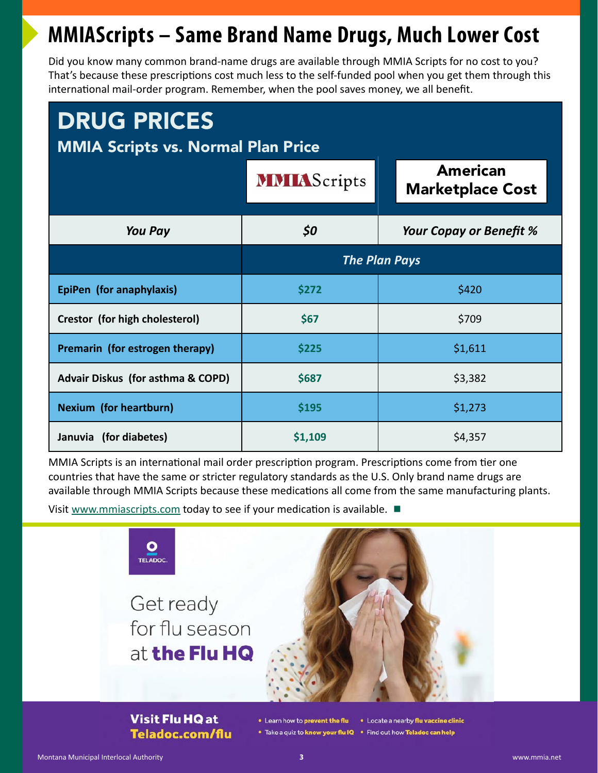### <span id="page-2-0"></span>**MMIAScripts – Same Brand Name Drugs, Much Lower Cost**

Did you know many common brand-name drugs are available through MMIA Scripts for no cost to you? That's because these prescriptions cost much less to the self-funded pool when you get them through this international mail-order program. Remember, when the pool saves money, we all benefit.

| <b>DRUG PRICES</b><br><b>MMIA Scripts vs. Normal Plan Price</b> |                      |                                            |
|-----------------------------------------------------------------|----------------------|--------------------------------------------|
|                                                                 | <b>MMIAScripts</b>   | <b>American</b><br><b>Marketplace Cost</b> |
| <b>You Pay</b>                                                  | \$0                  | Your Copay or Benefit %                    |
|                                                                 | <b>The Plan Pays</b> |                                            |
| EpiPen (for anaphylaxis)                                        | \$272                | \$420                                      |
| Crestor (for high cholesterol)                                  | \$67                 | \$709                                      |
| Premarin (for estrogen therapy)                                 | \$225                | \$1,611                                    |
| <b>Advair Diskus (for asthma &amp; COPD)</b>                    | \$687                | \$3,382                                    |
| <b>Nexium (for heartburn)</b>                                   | \$195                | \$1,273                                    |
| Januvia (for diabetes)                                          | \$1,109              | \$4,357                                    |

MMIA Scripts is an international mail order prescription program. Prescriptions come from tier one countries that have the same or stricter regulatory standards as the U.S. Only brand name drugs are available through MMIA Scripts because these medications all come from the same manufacturing plants.

Visit [www.mmiascripts.com](http://www.mmiascripts.com) today to see if your medication is available. **■**



**Visit Flu HQ at** Teladoc.com/flu

• Learn how to prevent the flu • Locate a nearby flu vaccine clinic

. Take a quiz to know your flu IQ . Find out how Teladoc can help